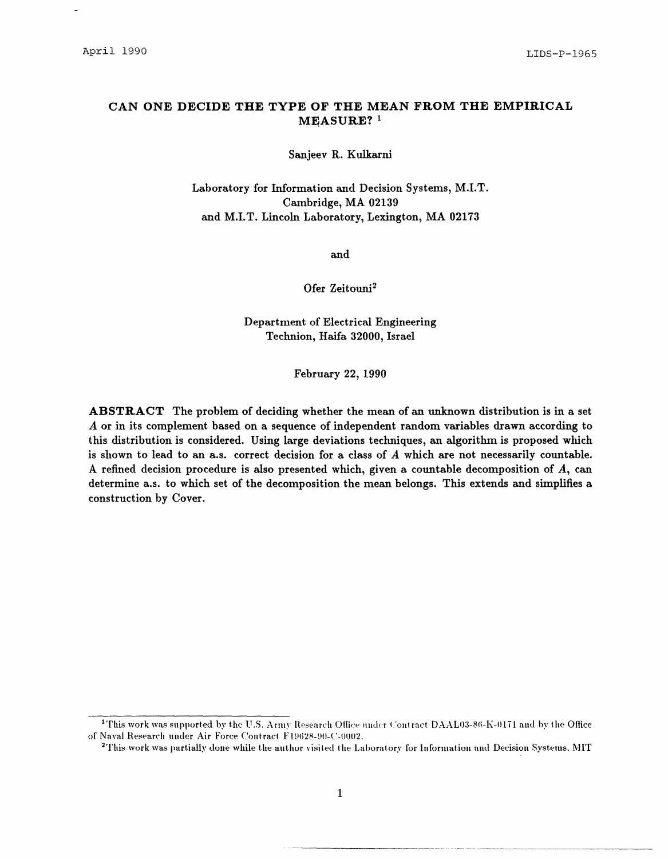# **CAN ONE DECIDE THE TYPE OF THE MEAN FROM THE EMPIRICAL MEASURE?** 1

Sanjeev R. Kulkarni

Laboratory for Information and Decision Systems, M.I.T. Cambridge, MA 02139 and M.I.T. Lincoln Laboratory, Lexington, MA 02173

and

Ofer Zeitouni<sup>2</sup>

Department of Electrical Engineering Technion, Haifa 32000, Israel

February 22, 1990

**ABSTRACT** The problem of deciding whether the mean of an unknown distribution is in **a** set *A* or in its complement based on **a** sequence of independent random variables drawn according to this distribution is considered. Using large deviations techniques, an algorithm is proposed which is shown to lead to an a.s. correct decision for a class of *A* which are not necessarily countable. A refined decision procedure is also presented which, given a countable decomposition of *A,* can determine a.s. to which set of the decomposition the mean belongs. This extends and simplifies a construction by Cover.

<sup>&</sup>lt;sup>1</sup>This work was supported by the U.S. Army Research Office under Contract DAAL03-86-K-0171 and by the Office of Naval Research under Air Force Contract. F19628-90-C-0002.

<sup>&</sup>lt;sup>2</sup>This work was partially done while the author visited the Laboratory for Information and Decision Systems, MIT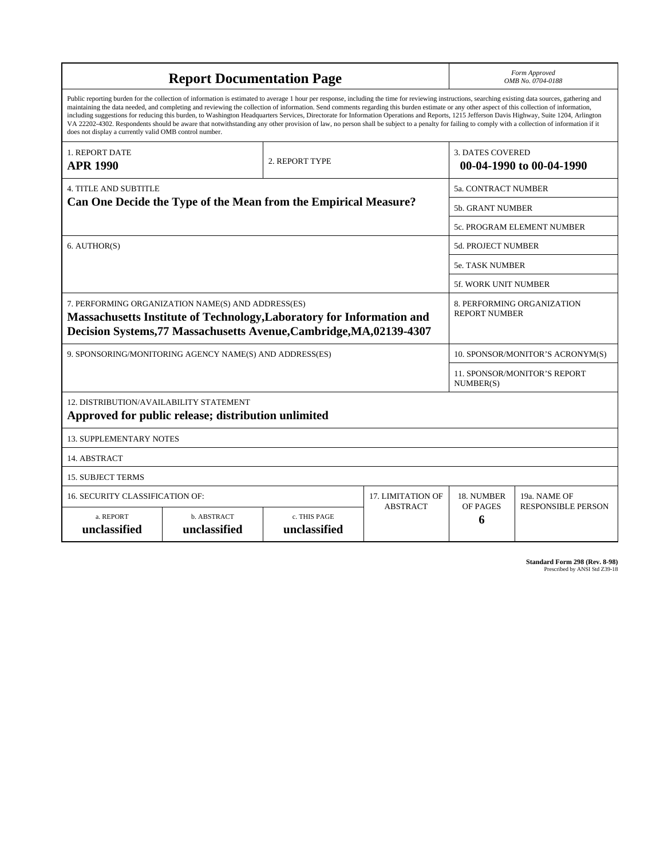| <b>Report Documentation Page</b>                                                                                                                                                                                                                                                                                                                                                                                                                                                                                                                                                                                                                                                                                                                                                                                                                                   |                             |                              |                 | Form Approved<br>OMB No. 0704-0188                  |                           |
|--------------------------------------------------------------------------------------------------------------------------------------------------------------------------------------------------------------------------------------------------------------------------------------------------------------------------------------------------------------------------------------------------------------------------------------------------------------------------------------------------------------------------------------------------------------------------------------------------------------------------------------------------------------------------------------------------------------------------------------------------------------------------------------------------------------------------------------------------------------------|-----------------------------|------------------------------|-----------------|-----------------------------------------------------|---------------------------|
| Public reporting burden for the collection of information is estimated to average 1 hour per response, including the time for reviewing instructions, searching existing data sources, gathering and<br>maintaining the data needed, and completing and reviewing the collection of information. Send comments regarding this burden estimate or any other aspect of this collection of information,<br>including suggestions for reducing this burden, to Washington Headquarters Services, Directorate for Information Operations and Reports, 1215 Jefferson Davis Highway, Suite 1204, Arlington<br>VA 22202-4302. Respondents should be aware that notwithstanding any other provision of law, no person shall be subject to a penalty for failing to comply with a collection of information if it<br>does not display a currently valid OMB control number. |                             |                              |                 |                                                     |                           |
| <b>1. REPORT DATE</b><br><b>APR 1990</b>                                                                                                                                                                                                                                                                                                                                                                                                                                                                                                                                                                                                                                                                                                                                                                                                                           | 2. REPORT TYPE              |                              |                 | <b>3. DATES COVERED</b><br>00-04-1990 to 00-04-1990 |                           |
| <b>4. TITLE AND SUBTITLE</b><br>Can One Decide the Type of the Mean from the Empirical Measure?                                                                                                                                                                                                                                                                                                                                                                                                                                                                                                                                                                                                                                                                                                                                                                    |                             |                              |                 | 5a. CONTRACT NUMBER                                 |                           |
|                                                                                                                                                                                                                                                                                                                                                                                                                                                                                                                                                                                                                                                                                                                                                                                                                                                                    |                             |                              |                 | 5b. GRANT NUMBER                                    |                           |
|                                                                                                                                                                                                                                                                                                                                                                                                                                                                                                                                                                                                                                                                                                                                                                                                                                                                    |                             |                              |                 | 5c. PROGRAM ELEMENT NUMBER                          |                           |
| 6. AUTHOR(S)                                                                                                                                                                                                                                                                                                                                                                                                                                                                                                                                                                                                                                                                                                                                                                                                                                                       |                             |                              |                 | <b>5d. PROJECT NUMBER</b>                           |                           |
|                                                                                                                                                                                                                                                                                                                                                                                                                                                                                                                                                                                                                                                                                                                                                                                                                                                                    |                             |                              |                 | <b>5e. TASK NUMBER</b>                              |                           |
|                                                                                                                                                                                                                                                                                                                                                                                                                                                                                                                                                                                                                                                                                                                                                                                                                                                                    |                             |                              |                 | <b>5f. WORK UNIT NUMBER</b>                         |                           |
| 7. PERFORMING ORGANIZATION NAME(S) AND ADDRESS(ES)<br>8. PERFORMING ORGANIZATION<br><b>REPORT NUMBER</b><br>Massachusetts Institute of Technology, Laboratory for Information and<br>Decision Systems, 77 Massachusetts Avenue, Cambridge, MA, 02139-4307                                                                                                                                                                                                                                                                                                                                                                                                                                                                                                                                                                                                          |                             |                              |                 |                                                     |                           |
| 9. SPONSORING/MONITORING AGENCY NAME(S) AND ADDRESS(ES)                                                                                                                                                                                                                                                                                                                                                                                                                                                                                                                                                                                                                                                                                                                                                                                                            |                             |                              |                 | 10. SPONSOR/MONITOR'S ACRONYM(S)                    |                           |
|                                                                                                                                                                                                                                                                                                                                                                                                                                                                                                                                                                                                                                                                                                                                                                                                                                                                    |                             |                              |                 | <b>11. SPONSOR/MONITOR'S REPORT</b><br>NUMBER(S)    |                           |
| 12. DISTRIBUTION/AVAILABILITY STATEMENT<br>Approved for public release; distribution unlimited                                                                                                                                                                                                                                                                                                                                                                                                                                                                                                                                                                                                                                                                                                                                                                     |                             |                              |                 |                                                     |                           |
| <b>13. SUPPLEMENTARY NOTES</b>                                                                                                                                                                                                                                                                                                                                                                                                                                                                                                                                                                                                                                                                                                                                                                                                                                     |                             |                              |                 |                                                     |                           |
| 14. ABSTRACT                                                                                                                                                                                                                                                                                                                                                                                                                                                                                                                                                                                                                                                                                                                                                                                                                                                       |                             |                              |                 |                                                     |                           |
| <b>15. SUBJECT TERMS</b>                                                                                                                                                                                                                                                                                                                                                                                                                                                                                                                                                                                                                                                                                                                                                                                                                                           |                             |                              |                 |                                                     |                           |
| 16. SECURITY CLASSIFICATION OF:<br><b>17. LIMITATION OF</b>                                                                                                                                                                                                                                                                                                                                                                                                                                                                                                                                                                                                                                                                                                                                                                                                        |                             |                              |                 | 18. NUMBER                                          | 19a. NAME OF              |
| a. REPORT<br>unclassified                                                                                                                                                                                                                                                                                                                                                                                                                                                                                                                                                                                                                                                                                                                                                                                                                                          | b. ABSTRACT<br>unclassified | c. THIS PAGE<br>unclassified | <b>ABSTRACT</b> | OF PAGES<br>6                                       | <b>RESPONSIBLE PERSON</b> |

**Standard Form 298 (Rev. 8-98)**<br>Prescribed by ANSI Std Z39-18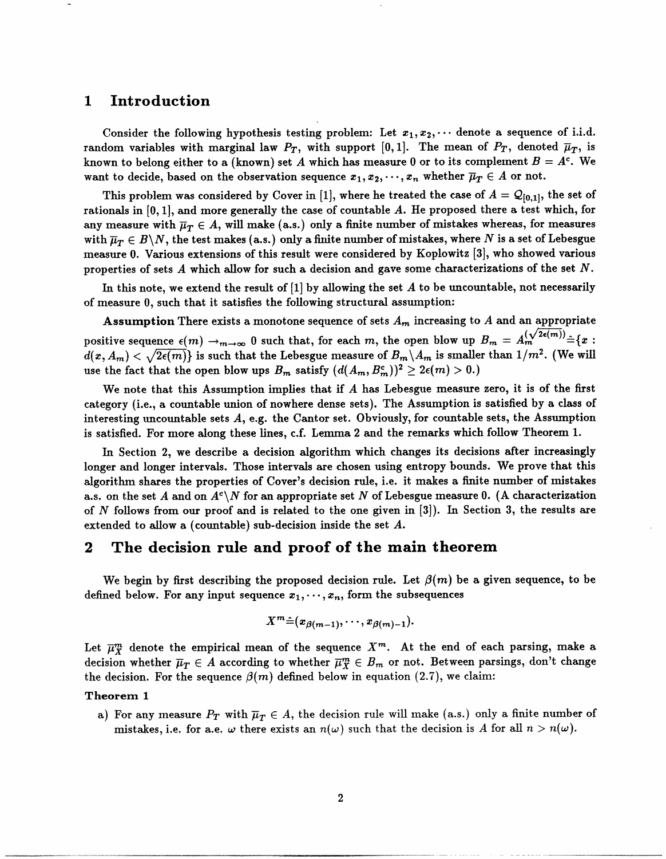# **1 Introduction**

Consider the following hypothesis testing problem: Let  $x_1, x_2, \cdots$  denote a sequence of i.i.d. random variables with marginal law  $P_T$ , with support [0,1]. The mean of  $P_T$ , denoted  $\overline{\mu}_T$ , is known to belong either to a (known) set A which has measure 0 or to its complement  $B = A<sup>c</sup>$ . We want to decide, based on the observation sequence  $x_1, x_2, \dots, x_n$  whether  $\overline{\mu}_T \in A$  or not.

This problem was considered by Cover in [1], where he treated the case of  $A = \mathcal{Q}_{[0,1]}$ , the set of rationals in [0, 1], and more generally the case of countable *A.* He proposed there a test which, for any measure with  $\bar{\mu}_T \in A$ , will make (a.s.) only a finite number of mistakes whereas, for measures with  $\overline{\mu}_T \in B\backslash N$ , the test makes (a.s.) only a finite number of mistakes, where N is a set of Lebesgue measure 0. Various extensions of this result were considered by Koplowitz [3], who showed various properties of sets *A* which allow for such a decision and gave some characterizations of the set *N.*

In this note, we extend the result of [1] by allowing the set *A* to be uncountable, not necessarily of measure 0, such that it satisfies the following structural assumption:

Assumption There exists a monotone sequence of sets *Am* increasing to *A* and an appropriate positive sequence  $\epsilon(m) \to_{m \to \infty} 0$  such that, for each *m*, the open blow up  $B_m = A_m^{(\sqrt{2\epsilon(m)})} = \{x :$  $d(x, A_m) < \sqrt{2\epsilon(m)}$  is such that the Lebesgue measure of  $B_m \backslash A_m$  is smaller than  $1/m^2$ . (We will use the fact that the open blow ups  $B_m$  satisfy  $(d(A_m, B_m^c))^2 \geq 2\epsilon(m) > 0.$ 

We note that this Assumption implies that if *A* has Lebesgue measure zero, it is of the first category (i.e., a countable union of nowhere dense sets). The Assumption is satisfied by a class of interesting uncountable sets *A,* e.g. the Cantor set. Obviously, for countable sets, the Assumption is satisfied. For more along these lines, c.f. Lemma 2 and the remarks which follow Theorem 1.

In Section 2, we describe a decision algorithm which changes its decisions after increasingly longer and longer intervals. Those intervals are chosen using entropy bounds. We prove that this algorithm shares the properties of Cover's decision rule, i.e. it makes a finite number of mistakes a.s. on the set *A* and on  $A^c\backslash N$  for an appropriate set *N* of Lebesgue measure 0. (A characterization of *N* follows from our proof and is related to the one given in [3]). In Section 3, the results are extended to allow a (countable) sub-decision inside the set *A.*

# **2 The decision rule and proof of the main theorem**

We begin by first describing the proposed decision rule. Let  $\beta(m)$  be a given sequence, to be defined below. For any input sequence  $x_1, \dots, x_n$ , form the subsequences

$$
X^m\hat{=}(x_{\beta(m-1)},\cdots,x_{\beta(m)-1}).
$$

Let  $\overline{\mu}_X^m$  denote the empirical mean of the sequence  $X^m$ . At the end of each parsing, make a decision whether  $\overline{\mu}_T \in A$  according to whether  $\overline{\mu}_X^m \in B_m$  or not. Between parsings, don't change the decision. For the sequence  $\beta(m)$  defined below in equation (2.7), we claim:

### **Theorem 1**

a) For any measure  $P_T$  with  $\overline{\mu}_T \in A$ , the decision rule will make (a.s.) only a finite number of mistakes, i.e. for a.e.  $\omega$  there exists an  $n(\omega)$  such that the decision is *A* for all  $n > n(\omega)$ .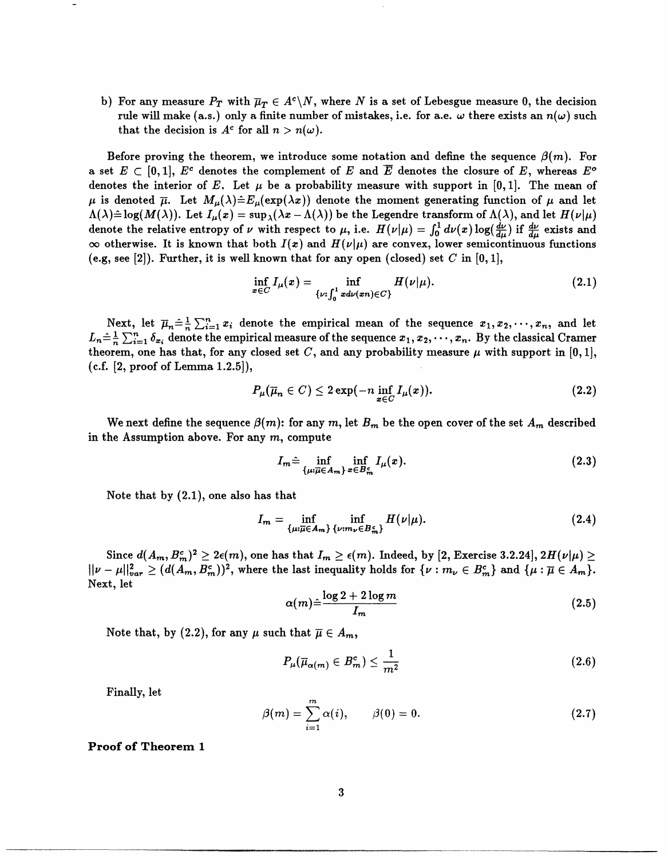b) For any measure  $P_T$  with  $\overline{\mu}_T \in A^c \backslash N$ , where N is a set of Lebesgue measure 0, the decision rule will make (a.s.) only a finite number of mistakes, i.e. for a.e.  $\omega$  there exists an  $n(\omega)$  such that the decision is  $A^c$  for all  $n > n(\omega)$ .

Before proving the theorem, we introduce some notation and define the sequence  $\beta(m)$ . For a set  $E \subset [0,1], E^c$  denotes the complement of *E* and  $\overline{E}$  denotes the closure of *E*, whereas  $E^o$ denotes the interior of *E*. Let  $\mu$  be a probability measure with support in [0,1]. The mean of  $\mu$  is denoted  $\bar{\mu}$ . Let  $M_{\mu}(\lambda) \hat{=} E_{\mu}(\exp(\lambda x))$  denote the moment generating function of  $\mu$  and let  $\Lambda(\lambda) \hat{=} \log(M(\lambda))$ . Let  $I_\mu(x) = \sup_{\lambda}(\lambda x - \Lambda(\lambda))$  be the Legendre transform of  $\Lambda(\lambda)$ , and let  $H(\nu|\mu)$ denote the relative entropy of *v* with respect to  $\mu$ , i.e.  $H(\nu|\mu) = \int_0^1 d\nu(x) \log(\frac{d\nu}{d\mu})$  if  $\frac{d\nu}{d\mu}$  exists and  $\infty$  otherwise. It is known that both  $I(x)$  and  $H(\nu|\mu)$  are convex, lower semicontinuous functions (e.g, see [2]). Further, it is well known that for any open (closed) set *C* in [0, 1],

$$
\inf_{x \in C} I_{\mu}(x) = \inf_{\{\nu : \int_0^1 x d\nu(xn) \in C\}} H(\nu | \mu). \tag{2.1}
$$

Next, let  $\overline{\mu}_n \triangleq \frac{1}{n} \sum_{i=1}^n x_i$  denote the empirical mean of the sequence  $x_1, x_2, \dots, x_n$ , and let  $L_n=\frac{1}{n}\sum_{i=1}^n \delta_{x_i}$  denote the empirical measure of the sequence  $x_1, x_2, \cdots, x_n$ . By the classical Cramer theorem, one has that, for any closed set  $C$ , and any probability measure  $\mu$  with support in [0, 1],  $(c.f. [2, proof of Lemma 1.2.5]),$ 

$$
P_{\mu}(\overline{\mu}_n \in C) \leq 2 \exp(-n \inf_{x \in C} I_{\mu}(x)). \tag{2.2}
$$

We next define the sequence  $\beta(m)$ : for any  $m$ , let  $B_m$  be the open cover of the set  $A_m$  described in the Assumption above. For any *m,* compute

$$
I_m \hat{=} \inf_{\{\mu:\overline{\mu}\in A_m\}} \inf_{x\in B_m^c} I_{\mu}(x). \tag{2.3}
$$

Note that by (2.1), one also has that

$$
I_m = \inf_{\{\mu:\overline{\mu}\in A_m\}} \inf_{\{\nu:m_{\nu}\in B_m^c\}} H(\nu|\mu). \tag{2.4}
$$

Since  $d(A_m, B_m^c)^2 \geq 2\epsilon(m)$ , one has that  $I_m \geq \epsilon(m)$ . Indeed, by [2, Exercise 3.2.24],  $2H(\nu|\mu) \geq$  $||\nu - \mu||_{var}^2 \geq (d(A_m, B_m^c))^2,$  where the last inequality holds for  $\{\nu : m_\nu \in B_m^c\}$  and  $\{\mu : \overline{\mu} \in A_m\}.$ Next, let

$$
\alpha(m) \hat{=} \frac{\log 2 + 2 \log m}{I_m} \tag{2.5}
$$

Note that, by (2.2), for any  $\mu$  such that  $\overline{\mu} \in A_m$ ,

$$
P_{\mu}(\overline{\mu}_{\alpha(m)} \in B_m^c) \le \frac{1}{m^2} \tag{2.6}
$$

Finally, let *<sup>m</sup>*

$$
\beta(m) = \sum_{i=1}^{m} \alpha(i), \qquad \beta(0) = 0. \tag{2.7}
$$

**Proof of Theorem 1**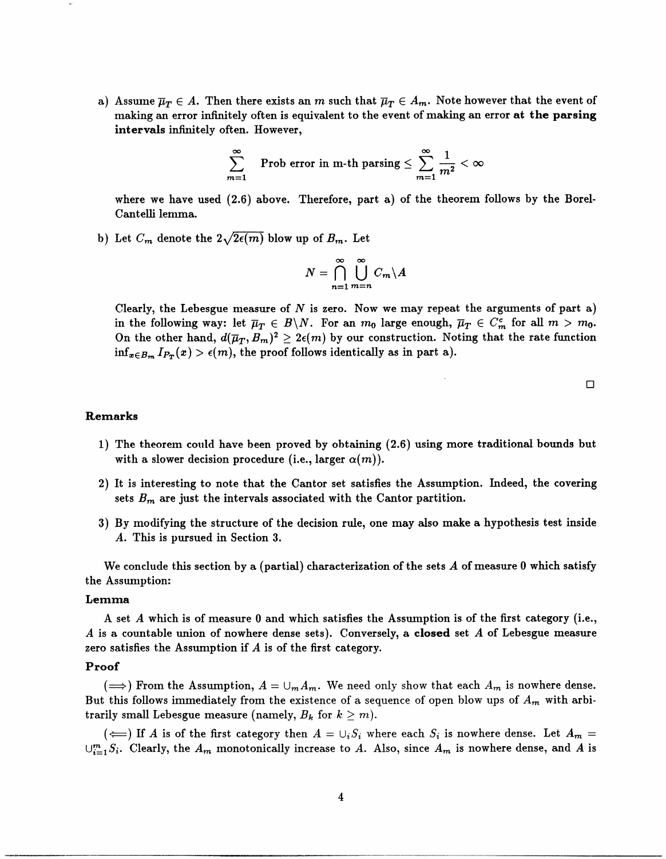a) Assume  $\overline{\mu}_T \in A$ . Then there exists an *m* such that  $\overline{\mu}_T \in A_m$ . Note however that the event of making an error infinitely often is equivalent to the event of making an error **at the parsing intervals** infinitely often. However,

$$
\sum_{m=1}^{\infty} \quad \text{Prob error in m-th parsing} \leq \sum_{m=1}^{\infty} \frac{1}{m^2} < \infty
$$

where we have used (2.6) above. Therefore, part a) of the theorem follows by the Borel-Cantelli lemma.

b) Let  $C_m$  denote the  $2\sqrt{2\epsilon(m)}$  blow up of  $B_m$ . Let

$$
N=\bigcap_{n=1}^{\infty}\bigcup_{m=n}^{\infty}C_m\backslash A
$$

Clearly, the Lebesgue measure of *N* is zero. Now we may repeat the arguments of part a) in the following way: let  $\overline{\mu}_T \in B\backslash N$ . For an  $m_0$  large enough,  $\overline{\mu}_T \in C_m^c$  for all  $m > m_0$ . On the other hand,  $d(\overline{\mu}_T, B_m)^2 \geq 2\epsilon(m)$  by our construction. Noting that the rate function  $\inf_{x \in B_m} I_{P_T}(x) > \epsilon(m)$ , the proof follows identically as in part a).

 $\Box$ 

### **Remarks**

- 1) The theorem could have been proved by obtaining (2.6) using more traditional bounds but with a slower decision procedure (i.e., larger  $\alpha(m)$ ).
- 2) It is interesting to note that the Cantor set satisfies the Assumption. Indeed, the covering sets  $B_m$  are just the intervals associated with the Cantor partition.
- 3) By modifying the structure of the decision rule, one may also make a hypothesis test inside *A.* This is pursued in Section 3.

We conclude this section by a (partial) characterization of the sets *A* of measure 0 which satisfy the Assumption:

#### **Lemma**

A set *A* which is of measure 0 and which satisfies the Assumption is of the first category (i.e., *A* is a countable union of nowhere dense sets). Conversely, a **closed** set *A* of Lebesgue measure zero satisfies the Assumption if *A* is of the first category.

#### **Proof**

 $(\Longrightarrow)$  From the Assumption,  $A = \bigcup_m A_m$ . We need only show that each  $A_m$  is nowhere dense. But this follows immediately from the existence of a sequence of open blow ups of *Am* with arbitrarily small Lebesgue measure (namely,  $B_k$  for  $k > m$ ).

 $(\Leftarrow)$  If *A* is of the first category then  $A = \bigcup_i S_i$  where each  $S_i$  is nowhere dense. Let  $A_m =$  $\bigcup_{i=1}^{m} S_i$ . Clearly, the  $A_m$  monotonically increase to *A*. Also, since  $A_m$  is nowhere dense, and *A* is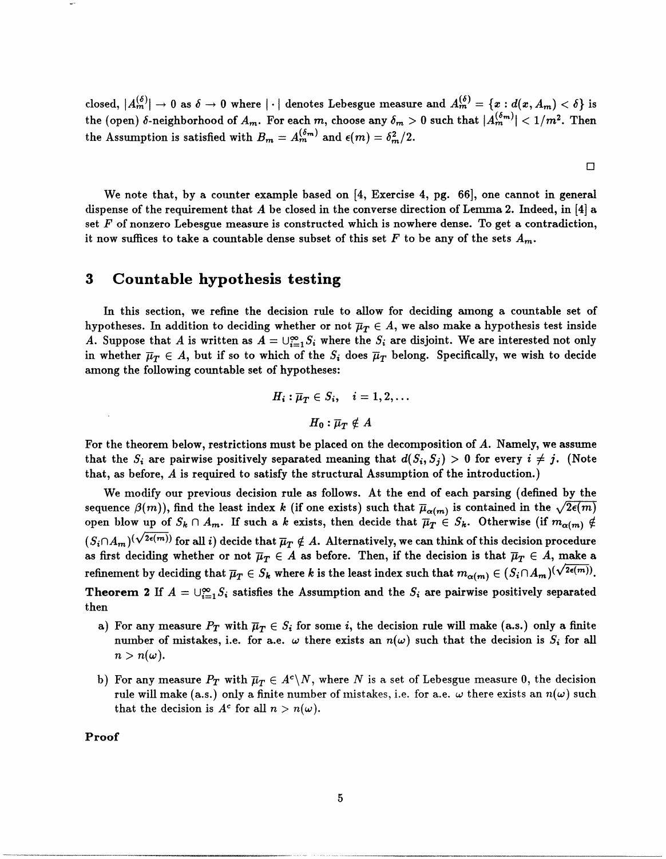closed,  $|A_m^{(\delta)}| \to 0$  as  $\delta \to 0$  where  $|\cdot|$  denotes Lebesgue measure and  $A_m^{(\delta)} = \{x: d(x, A_m) < \delta\}$  is the (open)  $\delta$ -neighborhood of  $A_m$ . For each m, choose any  $\delta_m > 0$  such that  $|A_m^{(\delta_m)}| < 1/m^2$ . Then the Assumption is satisfied with  $B_m = A_m^{(\delta_m)}$  and  $\epsilon(m) = \delta_m^2/2$ .

We note that, by a counter example based on [4, Exercise 4, pg. 66], one cannot in general dispense of the requirement that *A* be closed in the converse direction of Lemma 2. Indeed, in [4] a set *F* of nonzero Lebesgue measure is constructed which is nowhere dense. To get a contradiction, it now suffices to take a countable dense subset of this set  $F$  to be any of the sets  $A_m$ .

 $\Box$ 

# **3 Countable hypothesis testing**

In this section, we refine the decision rule to allow for deciding among a countable set of hypotheses. In addition to deciding whether or not  $\overline{\mu}_T \in A$ , we also make a hypothesis test inside *A.* Suppose that *A* is written as  $A = \bigcup_{i=1}^{\infty} S_i$  where the  $S_i$  are disjoint. We are interested not only in whether  $\bar{\mu}_T \in A$ , but if so to which of the  $S_i$  does  $\bar{\mu}_T$  belong. Specifically, we wish to decide among the following countable set of hypotheses:

$$
H_i: \overline{\mu}_T \in S_i, \quad i = 1, 2, \dots
$$

$$
H_0: \overline{\mu}_T \notin A
$$

For the theorem below, restrictions must be placed on the decomposition of *A.* Namely, we assume that the  $S_i$  are pairwise positively separated meaning that  $d(S_i, S_j) > 0$  for every  $i \neq j$ . (Note that, as before, *A* is required to satisfy the structural Assumption of the introduction.)

We modify our previous decision rule as follows. At the end of each parsing (defined by the sequence  $\beta(m)$ ), find the least index *k* (if one exists) such that  $\overline{\mu}_{\alpha(m)}$  is contained in the  $\sqrt{2\epsilon(m)}$ open blow up of  $S_k \cap A_m$ . If such a *k* exists, then decide that  $\overline{\mu}_T \in S_k$ . Otherwise (if  $m_{\alpha(m)} \notin$  $(S_i \cap A_m)^{(\sqrt{2\epsilon(m)})}$  for all *i*) decide that  $\overline{\mu}_T \notin A$ . Alternatively, we can think of this decision procedure as first deciding whether or not  $\overline{\mu}_T \in A$  as before. Then, if the decision is that  $\overline{\mu}_T \in A$ , make a refinement by deciding that  $\overline{\mu}_T \in S_k$  where *k* is the least index such that  $m_{\alpha(m)} \in (S_i \cap A_m)^{(\sqrt{2\epsilon(m)})}$ . **Theorem 2** If  $A = \bigcup_{i=1}^{\infty} S_i$  satisfies the Assumption and the  $S_i$  are pairwise positively separated then

- a) For any measure  $P_T$  with  $\overline{\mu}_T\in S_i$  for some  $i,$  the decision rule will make (a.s.) only a finite number of mistakes, i.e. for a.e.  $\omega$  there exists an  $n(\omega)$  such that the decision is  $S_i$  for all  $n > n(\omega)$ .
- b) For any measure  $P_T$  with  $\overline{\mu}_T \in A^c \backslash N$ , where N is a set of Lebesgue measure 0, the decision rule will make (a.s.) only a finite number of mistakes, i.e. for a.e.  $\omega$  there exists an  $n(\omega)$  such that the decision is  $A^c$  for all  $n > n(\omega)$ .

**Proof**